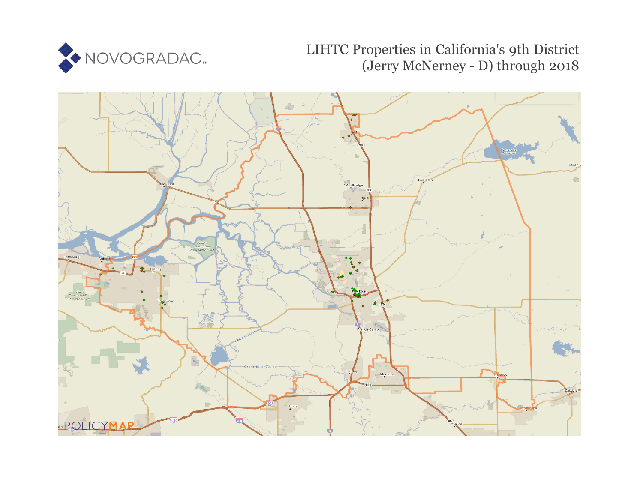

# LIHTC Properties in California's 9th District (Jerry McNerney - D) through 2018

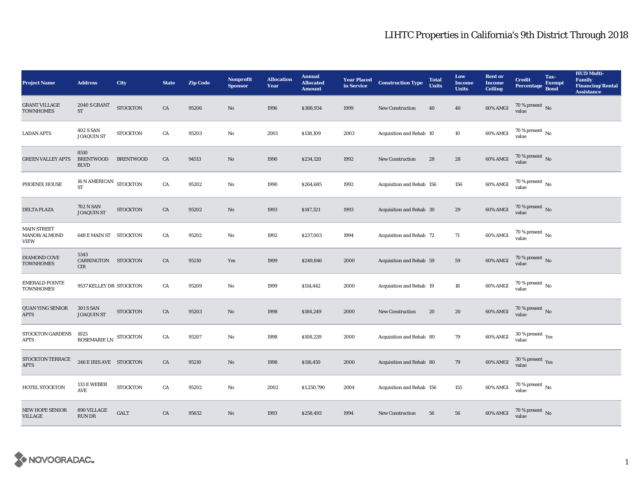| <b>Project Name</b>                               | <b>Address</b>                               | City             | <b>State</b> | <b>Zip Code</b> | <b>Nonprofit</b><br><b>Sponsor</b> | <b>Allocation</b><br>Year | <b>Annual</b><br><b>Allocated</b><br><b>Amount</b> | <b>Year Placed</b><br>in Service | <b>Construction Type</b>  | <b>Total</b><br><b>Units</b> | Low<br><b>Income</b><br><b>Units</b> | <b>Rent or</b><br><b>Income</b><br><b>Ceiling</b> | <b>Credit</b><br><b>Percentage</b>     | Tax-<br><b>Exempt</b><br><b>Bond</b> | <b>HUD Multi-</b><br><b>Family</b><br><b>Financing/Rental</b><br><b>Assistance</b> |
|---------------------------------------------------|----------------------------------------------|------------------|--------------|-----------------|------------------------------------|---------------------------|----------------------------------------------------|----------------------------------|---------------------------|------------------------------|--------------------------------------|---------------------------------------------------|----------------------------------------|--------------------------------------|------------------------------------------------------------------------------------|
| <b>GRANT VILLAGE</b><br><b>TOWNHOMES</b>          | <b>2040 S GRANT</b><br>$\operatorname{ST}$   | <b>STOCKTON</b>  | CA           | 95206           | $\mathbf{N}\mathbf{o}$             | 1996                      | \$388,934                                          | 1999                             | New Construction          | 40                           | 40                                   | 60% AMGI                                          | 70 % present $\hbox{~No}$<br>value     |                                      |                                                                                    |
| <b>LADAN APTS</b>                                 | <b>402 S SAN</b><br><b>JOAQUIN ST</b>        | <b>STOCKTON</b>  | CA           | 95203           | $\mathbf{No}$                      | 2001                      | \$138,109                                          | 2003                             | Acquisition and Rehab 10  |                              | 10                                   | 60% AMGI                                          | $70$ % present $\,$ No value           |                                      |                                                                                    |
| <b>GREEN VALLEY APTS</b>                          | 8510<br><b>BRENTWOOD</b><br><b>BLVD</b>      | <b>BRENTWOOD</b> | ${\rm CA}$   | 94513           | $\rm No$                           | 1990                      | \$234,120                                          | 1992                             | <b>New Construction</b>   | 28                           | ${\bf 28}$                           | 60% AMGI                                          | $70$ % present $\,$ No value           |                                      |                                                                                    |
| PHOENIX HOUSE                                     | 16 N AMERICAN STOCKTON<br><b>ST</b>          |                  | CA           | 95202           | $\mathbf{N}\mathbf{o}$             | 1990                      | \$264,685                                          | 1992                             | Acquisition and Rehab 156 |                              | 156                                  | 60% AMGI                                          | 70 % present $\,$ No $\,$<br>value     |                                      |                                                                                    |
| <b>DELTA PLAZA</b>                                | <b>702 N SAN</b><br><b>JOAQUIN ST</b>        | <b>STOCKTON</b>  | CA           | 95202           | $\rm No$                           | 1993                      | \$147,321                                          | 1993                             | Acquisition and Rehab 30  |                              | 29                                   | 60% AMGI                                          | $70$ % present $\,$ No value           |                                      |                                                                                    |
| <b>MAIN STREET</b><br>MANOR/ALMOND<br><b>VIEW</b> | <b>648 E MAIN ST STOCKTON</b>                |                  | CA           | 95202           | No                                 | 1992                      | \$237,003                                          | 1994                             | Acquisition and Rehab 72  |                              | 71                                   | 60% AMGI                                          | $70$ % present $\,$ No value           |                                      |                                                                                    |
| DIAMOND COVE<br><b>TOWNHOMES</b>                  | 5343<br>CARRINGTON STOCKTON<br><b>CIR</b>    |                  | CA           | 95210           | Yes                                | 1999                      | \$249,846                                          | 2000                             | Acquisition and Rehab 59  |                              | 59                                   | 60% AMGI                                          | $70\,\%$ present $\,$ No $\,$<br>value |                                      |                                                                                    |
| <b>EMERALD POINTE</b><br><b>TOWNHOMES</b>         | 9537 KELLEY DR STOCKTON                      |                  | CA           | 95209           | $\mathbf{N}\mathbf{o}$             | 1999                      | \$114,442                                          | 2000                             | Acquisition and Rehab 19  |                              | 18                                   | 60% AMGI                                          | 70 % present $\,$ No $\,$<br>value     |                                      |                                                                                    |
| <b>QUAN YING SENIOR</b><br>$\rm APTS$             | <b>301 S SAN</b><br><b>JOAQUIN ST</b>        | <b>STOCKTON</b>  | CA           | 95203           | $\rm No$                           | 1998                      | \$184,249                                          | 2000                             | New Construction          | 20                           | ${\bf 20}$                           | 60% AMGI                                          | $70\,\%$ present $\,$ No value         |                                      |                                                                                    |
| STOCKTON GARDENS<br>APTS                          | 1025<br>ROSEMARIE LN                         | <b>STOCKTON</b>  | CA           | 95207           | $\mathbf{No}$                      | 1998                      | \$108,239                                          | 2000                             | Acquisition and Rehab 80  |                              | 79                                   | 60% AMGI                                          | $30\,\%$ present $\,$ Yes value        |                                      |                                                                                    |
| STOCKTON TERRACE<br><b>APTS</b>                   | 246 E IRIS AVE STOCKTON                      |                  | CA           | 95210           | No                                 | 1998                      | \$116,450                                          | 2000                             | Acquisition and Rehab 80  |                              | 79                                   | 60% AMGI                                          | $30\,\%$ present $\,$ Yes value        |                                      |                                                                                    |
| HOTEL STOCKTON                                    | 133 E WEBER<br>$\operatorname{\mathbf{AVE}}$ | <b>STOCKTON</b>  | CA           | 95202           | No                                 | 2002                      | \$1,250,790                                        | 2004                             | Acquisition and Rehab 156 |                              | 155                                  | 60% AMGI                                          | $70\,\%$ present $\,$ No value         |                                      |                                                                                    |
| NEW HOPE SENIOR<br><b>VILLAGE</b>                 | 890 VILLAGE<br><b>RUN DR</b>                 | <b>GALT</b>      | CA           | 95632           | No                                 | 1993                      | \$258,493                                          | 1994                             | <b>New Construction</b>   | 56                           | 56                                   | 60% AMGI                                          | $70$ % present $\,$ No value           |                                      |                                                                                    |

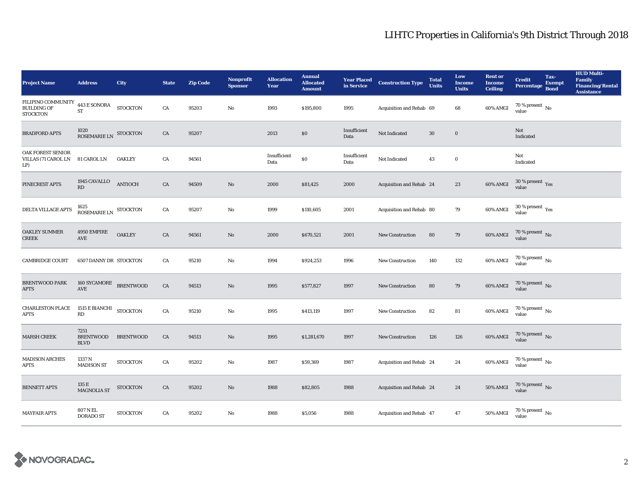| <b>Project Name</b>                                         | <b>Address</b>                                 | City             | <b>State</b> | <b>Zip Code</b> | <b>Nonprofit</b><br><b>Sponsor</b> | <b>Allocation</b><br>Year | <b>Annual</b><br><b>Allocated</b><br><b>Amount</b> |                      | <b>Year Placed Construction Type</b><br>in Service <b>Construction</b> Type | <b>Total</b><br><b>Units</b> | Low<br><b>Income</b><br><b>Units</b> | <b>Rent or</b><br><b>Income</b><br><b>Ceiling</b> | <b>Credit</b><br><b>Percentage</b>     | Tax-<br><b>Exempt</b><br><b>Bond</b> | <b>HUD Multi-</b><br>Family<br><b>Financing/Rental</b><br><b>Assistance</b> |
|-------------------------------------------------------------|------------------------------------------------|------------------|--------------|-----------------|------------------------------------|---------------------------|----------------------------------------------------|----------------------|-----------------------------------------------------------------------------|------------------------------|--------------------------------------|---------------------------------------------------|----------------------------------------|--------------------------------------|-----------------------------------------------------------------------------|
| FILIPINO COMMUNITY<br><b>BUILDING OF</b><br><b>STOCKTON</b> | $443\,\mathrm{E}$ SONORA<br>${\rm ST}$         | <b>STOCKTON</b>  | ${\rm CA}$   | 95203           | No                                 | 1993                      | \$195,800                                          | 1995                 | Acquisition and Rehab 69                                                    |                              | 68                                   | 60% AMGI                                          | 70 % present $\,$ No $\,$<br>value     |                                      |                                                                             |
| <b>BRADFORD APTS</b>                                        | $1020\,$ ROSEMARIE LN STOCKTON                 |                  | ${\rm CA}$   | 95207           |                                    | 2013                      | $\$0$                                              | Insufficient<br>Data | Not Indicated                                                               | $30\,$                       | $\mathbf 0$                          |                                                   | Not<br>Indicated                       |                                      |                                                                             |
| <b>OAK FOREST SENIOR</b><br>VILLAS (71 CAROL LN<br>LP)      | <b>81 CAROL LN</b>                             | <b>OAKLEY</b>    | ${\rm CA}$   | 94561           |                                    | Insufficient<br>Data      | $\$0$                                              | Insufficient<br>Data | Not Indicated                                                               | 43                           | $\bf{0}$                             |                                                   | Not<br>Indicated                       |                                      |                                                                             |
| PINECREST APTS                                              | 1945 CAVALLO<br>RD                             | <b>ANTIOCH</b>   | CA           | 94509           | $\rm No$                           | 2000                      | \$81,425                                           | 2000                 | Acquisition and Rehab 24                                                    |                              | ${\bf 23}$                           | $60\%$ AMGI                                       | $30\,\%$ present $\,$ Yes value        |                                      |                                                                             |
| DELTA VILLAGE APTS                                          | $1625$ ROSEMARIE LN STOCKTON                   |                  | ${\rm CA}$   | 95207           | $\mathbf{No}$                      | 1999                      | \$110,605                                          | 2001                 | Acquisition and Rehab 80                                                    |                              | 79                                   | 60% AMGI                                          | $30$ % present $\,$ $\rm Yes$<br>value |                                      |                                                                             |
| <b>OAKLEY SUMMER</b><br><b>CREEK</b>                        | 4950 EMPIRE<br>AVE                             | <b>OAKLEY</b>    | CA           | 94561           | $\mathbf{N}\mathbf{o}$             | 2000                      | \$670,521                                          | 2001                 | <b>New Construction</b>                                                     | 80                           | 79                                   | 60% AMGI                                          | $70$ % present $\,$ No value           |                                      |                                                                             |
| <b>CAMBRIDGE COURT</b>                                      | <b>6507 DANNY DR STOCKTON</b>                  |                  | CA           | 95210           | No                                 | 1994                      | \$924,253                                          | 1996                 | <b>New Construction</b>                                                     | 140                          | 132                                  | 60% AMGI                                          | $70$ % present $\,$ No value           |                                      |                                                                             |
| <b>BRENTWOOD PARK</b><br><b>APTS</b>                        | 160 SYCAMORE BRENTWOOD<br>$\operatorname{AVE}$ |                  | ${\rm CA}$   | 94513           | $\rm No$                           | 1995                      | \$577,827                                          | 1997                 | New Construction                                                            | 80                           | 79                                   | 60% AMGI                                          | $70$ % present $_{\rm{No}}$            |                                      |                                                                             |
| <b>CHARLESTON PLACE</b><br><b>APTS</b>                      | 1515 $\rm{E}$ BIANCHI STOCKTON<br>RD           |                  | CA           | 95210           | $\mathbf{N}\mathbf{o}$             | 1995                      | \$413,119                                          | 1997                 | New Construction                                                            | 82                           | ${\bf 81}$                           | 60% AMGI                                          | $70$ % present $\,$ No value           |                                      |                                                                             |
| <b>MARSH CREEK</b>                                          | 7251<br><b>BRENTWOOD</b><br><b>BLVD</b>        | <b>BRENTWOOD</b> | CA           | 94513           | $\mathbf{N}\mathbf{o}$             | 1995                      | \$1,281,670                                        | 1997                 | <b>New Construction</b>                                                     | 126                          | 126                                  | 60% AMGI                                          | $70$ % present $\,$ No value           |                                      |                                                                             |
| <b>MADISON ARCHES</b><br><b>APTS</b>                        | 1337 N<br><b>MADISON ST</b>                    | <b>STOCKTON</b>  | ${\rm CA}$   | 95202           | $\mathbf{N}\mathbf{o}$             | 1987                      | \$59,369                                           | 1987                 | Acquisition and Rehab 24                                                    |                              | 24                                   | 60% AMGI                                          | $70$ % present $\,$ No value           |                                      |                                                                             |
| <b>BENNETT APTS</b>                                         | 135 E<br><b>MAGNOLIA ST</b>                    | <b>STOCKTON</b>  | CA           | 95202           | $\rm No$                           | 1988                      | \$82,805                                           | 1988                 | Acquisition and Rehab 24                                                    |                              | 24                                   | 50% AMGI                                          | $70\,\%$ present $\,$ No value         |                                      |                                                                             |
| <b>MAYFAIR APTS</b>                                         | 807 N EL<br><b>DORADO ST</b>                   | <b>STOCKTON</b>  | CA           | 95202           | $\mathbf{N}\mathbf{o}$             | 1988                      | \$5,056                                            | 1988                 | <b>Acquisition and Rehab 47</b>                                             |                              | 47                                   | 50% AMGI                                          | $70\,\%$ present $\,$ No value         |                                      |                                                                             |

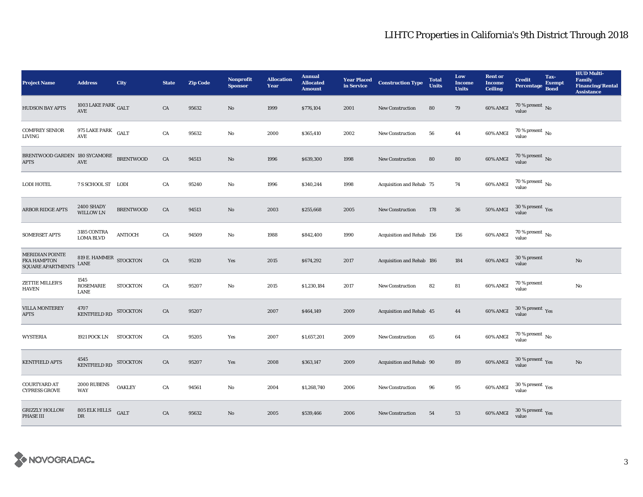| <b>Project Name</b>                                               | <b>Address</b>                      | City             | <b>State</b> | <b>Zip Code</b> | <b>Nonprofit</b><br><b>Sponsor</b> | <b>Allocation</b><br>Year | <b>Annual</b><br><b>Allocated</b><br><b>Amount</b> |      | <b>Year Placed Construction Type</b><br>in Service <b>Construction</b> Type | <b>Total</b><br><b>Units</b> | Low<br><b>Income</b><br><b>Units</b> | <b>Rent or</b><br><b>Income</b><br><b>Ceiling</b> | <b>Credit</b><br><b>Percentage</b> | Tax-<br><b>Exempt</b><br><b>Bond</b> | <b>HUD Multi-</b><br>Family<br><b>Financing/Rental</b><br><b>Assistance</b> |
|-------------------------------------------------------------------|-------------------------------------|------------------|--------------|-----------------|------------------------------------|---------------------------|----------------------------------------------------|------|-----------------------------------------------------------------------------|------------------------------|--------------------------------------|---------------------------------------------------|------------------------------------|--------------------------------------|-----------------------------------------------------------------------------|
| <b>HUDSON BAY APTS</b>                                            | 1003 LAKE PARK $_{\rm GALT}$<br>AVE |                  | CA           | 95632           | No                                 | 1999                      | \$776,104                                          | 2001 | <b>New Construction</b>                                                     | 80                           | 79                                   | 60% AMGI                                          | 70 % present $\,$ No $\,$<br>value |                                      |                                                                             |
| <b>COMFREY SENIOR</b><br>LIVING                                   | 975 LAKE PARK GALT<br>AVE           |                  | CA           | 95632           | $\mathbf{No}$                      | 2000                      | \$365,410                                          | 2002 | New Construction                                                            | 56                           | 44                                   | 60% AMGI                                          | $70$ % present $\,$ No value       |                                      |                                                                             |
| BRENTWOOD GARDEN 180 SYCAMORE BRENTWOOD<br><b>APTS</b>            | $\operatorname{AVE}$                |                  | CA           | 94513           | $\rm No$                           | 1996                      | \$639,300                                          | 1998 | <b>New Construction</b>                                                     | 80                           | 80                                   | 60% AMGI                                          | $70$ % present $\,$ No value       |                                      |                                                                             |
| <b>LODI HOTEL</b>                                                 | 7 S SCHOOL ST LODI                  |                  | CA           | 95240           | $\rm No$                           | 1996                      | \$340,244                                          | 1998 | Acquisition and Rehab 75                                                    |                              | 74                                   | 60% AMGI                                          | $70\,\%$ present $\,$ No value     |                                      |                                                                             |
| <b>ARBOR RIDGE APTS</b>                                           | 2400 SHADY<br>WILLOW LN             | <b>BRENTWOOD</b> | CA           | 94513           | $\mathbf{N}\mathbf{o}$             | 2003                      | \$255,668                                          | 2005 | New Construction                                                            | 178                          | ${\bf 36}$                           | $50\%$ AMGI                                       | $30\,\%$ present $\,$ Yes value    |                                      |                                                                             |
| <b>SOMERSET APTS</b>                                              | $3185$ CONTRA LOMA BLVD             | <b>ANTIOCH</b>   | CA           | 94509           | $\rm No$                           | 1988                      | \$842,400                                          | 1990 | Acquisition and Rehab 156                                                   |                              | 156                                  | 60% AMGI                                          | $70$ % present $\,$ No value       |                                      |                                                                             |
| <b>MERIDIAN POINTE</b><br>FKA HAMPTON<br><b>SQUARE APARTMENTS</b> | 819 E. HAMMER STOCKTON<br>LANE      |                  | ${\rm CA}$   | 95210           | Yes                                | 2015                      | \$674,292                                          | 2017 | Acquisition and Rehab 186                                                   |                              | 184                                  | <b>60% AMGI</b>                                   | 30 % present<br>value              |                                      | $\mathbf{N}\mathbf{o}$                                                      |
| ZETTIE MILLER'S<br><b>HAVEN</b>                                   | 1545<br>ROSEMARIE<br>LANE           | <b>STOCKTON</b>  | CA           | 95207           | $\mathbf{N}\mathbf{o}$             | 2015                      | \$1,230,184                                        | 2017 | New Construction                                                            | 82                           | 81                                   | 60% AMGI                                          | 70 % present<br>value              |                                      | $\rm No$                                                                    |
| <b>VILLA MONTEREY</b><br><b>APTS</b>                              | 4707<br><b>KENTFIELD RD</b>         | <b>STOCKTON</b>  | CA           | 95207           |                                    | 2007                      | \$464,149                                          | 2009 | Acquisition and Rehab 45                                                    |                              | 44                                   | 60% AMGI                                          | $30\,\%$ present $\,$ Yes value    |                                      |                                                                             |
| <b>WYSTERIA</b>                                                   | 1921 POCK LN                        | <b>STOCKTON</b>  | CA           | 95205           | Yes                                | 2007                      | \$1,657,201                                        | 2009 | New Construction                                                            | 65                           | $\bf{64}$                            | 60% AMGI                                          | 70 % present $\,$ No $\,$<br>value |                                      |                                                                             |
| <b>KENTFIELD APTS</b>                                             | 4545<br>KENTFIELD RD STOCKTON       |                  | ${\rm CA}$   | 95207           | Yes                                | 2008                      | \$363,147                                          | 2009 | Acquisition and Rehab 90                                                    |                              | 89                                   | 60% AMGI                                          | $30\,\%$ present $\,$ Yes value    |                                      | $\mathbf{No}$                                                               |
| <b>COURTYARD AT</b><br><b>CYPRESS GROVE</b>                       | 2000 RUBENS<br><b>WAY</b>           | <b>OAKLEY</b>    | CA           | 94561           | No                                 | 2004                      | \$1,268,740                                        | 2006 | <b>New Construction</b>                                                     | 96                           | 95                                   | 60% AMGI                                          | $30\,\%$ present $\,$ Yes value    |                                      |                                                                             |
| <b>GRIZZLY HOLLOW</b><br>PHASE III                                | 805 ELK HILLS<br><b>DR</b>          | <b>GALT</b>      | ${\rm CA}$   | 95632           | $\rm No$                           | 2005                      | \$539,466                                          | 2006 | <b>New Construction</b>                                                     | 54                           | 53                                   | 60% AMGI                                          | $30\,\%$ present $\,$ Yes value    |                                      |                                                                             |

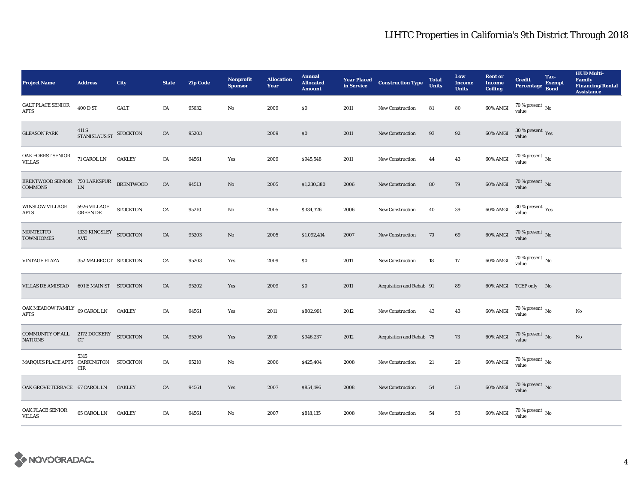| <b>Project Name</b>                               | <b>Address</b>                       | City             | <b>State</b> | <b>Zip Code</b> | <b>Nonprofit</b><br><b>Sponsor</b> | <b>Allocation</b><br>Year | <b>Annual</b><br><b>Allocated</b><br><b>Amount</b> |      | <b>Year Placed Construction Type</b><br>in Service | <b>Total</b><br><b>Units</b> | Low<br><b>Income</b><br><b>Units</b> | <b>Rent or</b><br><b>Income</b><br><b>Ceiling</b> | <b>Credit</b><br><b>Percentage</b> | Tax-<br><b>Exempt</b><br><b>Bond</b> | <b>HUD Multi-</b><br>Family<br><b>Financing/Rental</b><br><b>Assistance</b> |
|---------------------------------------------------|--------------------------------------|------------------|--------------|-----------------|------------------------------------|---------------------------|----------------------------------------------------|------|----------------------------------------------------|------------------------------|--------------------------------------|---------------------------------------------------|------------------------------------|--------------------------------------|-----------------------------------------------------------------------------|
| <b>GALT PLACE SENIOR</b><br><b>APTS</b>           | 400 D ST                             | GALT             | ${\rm CA}$   | 95632           | $\mathbf{No}$                      | 2009                      | \$0\$                                              | 2011 | New Construction                                   | 81                           | 80                                   | 60% AMGI                                          | 70 % present $\,$ No $\,$<br>value |                                      |                                                                             |
| <b>GLEASON PARK</b>                               | 411 S<br>STANISLAUS ST<br>STOCKTON   |                  | CA           | 95203           |                                    | 2009                      | $\$0$                                              | 2011 | New Construction                                   | 93                           | 92                                   | 60% AMGI                                          | $30\,\%$ present $\,$ Yes value    |                                      |                                                                             |
| OAK FOREST SENIOR<br><b>VILLAS</b>                | 71 CAROL LN                          | <b>OAKLEY</b>    | ${\rm CA}$   | 94561           | Yes                                | 2009                      | \$945,548                                          | 2011 | <b>New Construction</b>                            | 44                           | 43                                   | 60% AMGI                                          | $70$ % present $\,$ No value       |                                      |                                                                             |
| BRENTWOOD SENIOR 750 LARKSPUR<br><b>COMMONS</b>   | LN                                   | <b>BRENTWOOD</b> | ${\rm CA}$   | 94513           | $\rm No$                           | 2005                      | \$1,230,380                                        | 2006 | New Construction                                   | 80                           | 79                                   | 60% AMGI                                          | $70$ % present $\,$ No value       |                                      |                                                                             |
| <b>WINSLOW VILLAGE</b><br>APTS                    | 5926 VILLAGE<br><b>GREEN DR</b>      | <b>STOCKTON</b>  | ${\rm CA}$   | 95210           | No                                 | 2005                      | \$334,326                                          | 2006 | New Construction                                   | 40                           | ${\bf 39}$                           | 60% AMGI                                          | $30\,\%$ present $\,$ Yes value    |                                      |                                                                             |
| <b>MONTECITO</b><br><b>TOWNHOMES</b>              | 1339 KINGSLEY STOCKTON<br><b>AVE</b> |                  | CA           | 95203           | $\mathbf{No}$                      | 2005                      | \$1,092,414                                        | 2007 | <b>New Construction</b>                            | 70                           | 69                                   | 60% AMGI                                          | $70$ % present $\,$ No value       |                                      |                                                                             |
| <b>VINTAGE PLAZA</b>                              | 352 MALBEC CT STOCKTON               |                  | CA           | 95203           | Yes                                | 2009                      | <b>SO</b>                                          | 2011 | <b>New Construction</b>                            | 18                           | 17                                   | 60% AMGI                                          | 70 % present $\,$ No $\,$<br>value |                                      |                                                                             |
| <b>VILLAS DE AMISTAD</b>                          | <b>601 E MAIN ST STOCKTON</b>        |                  | CA           | 95202           | Yes                                | 2009                      | \$0                                                | 2011 | Acquisition and Rehab 91                           |                              | 89                                   |                                                   | 60% AMGI TCEP only No              |                                      |                                                                             |
| OAK MEADOW FAMILY $\,$ 69 CAROL LN<br><b>APTS</b> |                                      | <b>OAKLEY</b>    | ${\rm CA}$   | 94561           | Yes                                | 2011                      | \$802,991                                          | 2012 | New Construction                                   | 43                           | 43                                   | 60% AMGI                                          | $70$ % present $\,$ No value       |                                      | No                                                                          |
| COMMUNITY OF ALL 2172 DOCKERY<br><b>NATIONS</b>   | CT                                   | <b>STOCKTON</b>  | ${\rm CA}$   | 95206           | Yes                                | 2010                      | \$946,237                                          | 2012 | Acquisition and Rehab 75                           |                              | 73                                   | 60% AMGI                                          | $70$ % present $\,$ No value       |                                      | $\mathbf{N}\mathbf{o}$                                                      |
| MARQUIS PLACE APTS CARRINGTON STOCKTON            | 5315<br>CIR                          |                  | ${\rm CA}$   | 95210           | No                                 | 2006                      | \$425,404                                          | 2008 | New Construction                                   | 21                           | 20                                   | 60% AMGI                                          | $70\,\%$ present $\,$ No value     |                                      |                                                                             |
| OAK GROVE TERRACE 67 CAROL LN                     |                                      | <b>OAKLEY</b>    | CA           | 94561           | Yes                                | 2007                      | \$854,196                                          | 2008 | <b>New Construction</b>                            | 54                           | 53                                   | $60\%$ AMGI                                       | $70\,\%$ present $\,$ No value     |                                      |                                                                             |
| OAK PLACE SENIOR<br><b>VILLAS</b>                 | 65 CAROL LN                          | <b>OAKLEY</b>    | ${\rm CA}$   | 94561           | No                                 | 2007                      | \$818,135                                          | 2008 | <b>New Construction</b>                            | 54                           | 53                                   | 60% AMGI                                          | $70\,\%$ present $\,$ No value     |                                      |                                                                             |

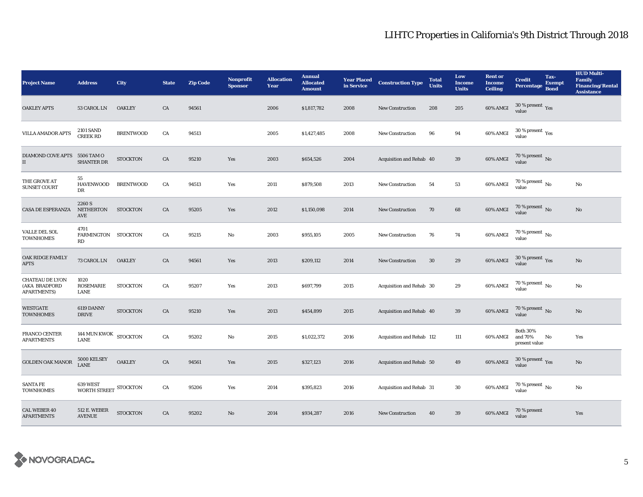| <b>Project Name</b>                                           | <b>Address</b>                       | City             | <b>State</b> | <b>Zip Code</b> | <b>Nonprofit</b><br><b>Sponsor</b> | <b>Allocation</b><br>Year | <b>Annual</b><br><b>Allocated</b><br><b>Amount</b> | <b>Year Placed</b><br>in Service | <b>Construction Type</b>  | <b>Total</b><br><b>Units</b> | Low<br><b>Income</b><br><b>Units</b> | <b>Rent</b> or<br><b>Income</b><br><b>Ceiling</b> | <b>Credit</b><br><b>Percentage</b>          | Tax-<br><b>Exempt</b><br><b>Bond</b> | <b>HUD Multi-</b><br>Family<br><b>Financing/Rental</b><br><b>Assistance</b> |
|---------------------------------------------------------------|--------------------------------------|------------------|--------------|-----------------|------------------------------------|---------------------------|----------------------------------------------------|----------------------------------|---------------------------|------------------------------|--------------------------------------|---------------------------------------------------|---------------------------------------------|--------------------------------------|-----------------------------------------------------------------------------|
| <b>OAKLEY APTS</b>                                            | 53 CAROL LN                          | <b>OAKLEY</b>    | CA           | 94561           |                                    | 2006                      | \$1,817,782                                        | 2008                             | <b>New Construction</b>   | 208                          | 205                                  | 60% AMGI                                          | 30 % present $\gamma_{\rm e s}$<br>value    |                                      |                                                                             |
| VILLA AMADOR APTS                                             | <b>2101 SAND</b><br><b>CREEK RD</b>  | <b>BRENTWOOD</b> | CA           | 94513           |                                    | 2005                      | \$1,427,485                                        | 2008                             | New Construction          | 96                           | 94                                   | 60% AMGI                                          | $30$ % present $\,$ $\rm Yes$<br>value      |                                      |                                                                             |
| DIAMOND COVE APTS 5506 TAM O<br>$\rm II$                      | <b>SHANTER DR</b>                    | <b>STOCKTON</b>  | ${\rm CA}$   | 95210           | Yes                                | 2003                      | \$654,526                                          | 2004                             | Acquisition and Rehab 40  |                              | $39\,$                               | 60% AMGI                                          | $70$ % present $\,$ No value                |                                      |                                                                             |
| THE GROVE AT<br><b>SUNSET COURT</b>                           | 55<br><b>HAVENWOOD</b><br>DR         | <b>BRENTWOOD</b> | CA           | 94513           | Yes                                | 2011                      | \$879,508                                          | 2013                             | New Construction          | 54                           | 53                                   | 60% AMGI                                          | 70 % present $\,$ No $\,$<br>value          |                                      | $\rm No$                                                                    |
| <b>CASA DE ESPERANZA</b>                                      | 2260 S<br>NETHERTON<br>AVE           | <b>STOCKTON</b>  | CA           | 95205           | Yes                                | 2012                      | \$1,150,098                                        | 2014                             | New Construction          | 70                           | 68                                   | 60% AMGI                                          | $70$ % present $_{\rm{No}}$                 |                                      | $\rm No$                                                                    |
| VALLE DEL SOL<br><b>TOWNHOMES</b>                             | 4701<br>FARMINGTON STOCKTON<br>RD    |                  | CA           | 95215           | No                                 | 2003                      | \$955,105                                          | 2005                             | <b>New Construction</b>   | 76                           | 74                                   | 60% AMGI                                          | $70$ % present $\,$ No $\,$<br>value        |                                      |                                                                             |
| OAK RIDGE FAMILY<br><b>APTS</b>                               | 73 CAROL LN                          | <b>OAKLEY</b>    | CA           | 94561           | Yes                                | 2013                      | \$209,112                                          | 2014                             | <b>New Construction</b>   | 30                           | 29                                   | 60% AMGI                                          | 30 % present $\,$ $\rm Yes$<br>value        |                                      | No                                                                          |
| <b>CHATEAU DE LYON</b><br>(AKA BRADFORD<br><b>APARTMENTS)</b> | 1020<br><b>ROSEMARIE</b><br>LANE     | <b>STOCKTON</b>  | CA           | 95207           | Yes                                | 2013                      | \$697,799                                          | 2015                             | Acquisition and Rehab 30  |                              | 29                                   | 60% AMGI                                          | $70$ % present $\,$ $_{\rm No}$<br>value    |                                      | No                                                                          |
| <b>WESTGATE</b><br><b>TOWNHOMES</b>                           | 6119 DANNY<br><b>DRIVE</b>           | <b>STOCKTON</b>  | CA           | 95210           | Yes                                | 2013                      | \$454,899                                          | 2015                             | Acquisition and Rehab 40  |                              | 39                                   | 60% AMGI                                          | $70\,\%$ present $\,$ No value              |                                      | $\rm No$                                                                    |
| FRANCO CENTER<br><b>APARTMENTS</b>                            | 144 MUN KWOK STOCKTON<br><b>LANE</b> |                  | CA           | 95202           | No                                 | 2015                      | \$1,022,372                                        | 2016                             | Acquisition and Rehab 112 |                              | 111                                  | 60% AMGI                                          | <b>Both 30%</b><br>and 70%<br>present value | No                                   | Yes                                                                         |
| <b>GOLDEN OAK MANOR</b>                                       | 5000 KELSEY<br><b>LANE</b>           | <b>OAKLEY</b>    | ${\rm CA}$   | 94561           | Yes                                | 2015                      | \$327,123                                          | 2016                             | Acquisition and Rehab 50  |                              | 49                                   | 60% AMGI                                          | $30\,\%$ present $\,$ $\rm Yes$<br>value    |                                      | No                                                                          |
| <b>SANTA FE</b><br><b>TOWNHOMES</b>                           | 639 WEST<br>WORTH STREET STOCKTON    |                  | CA           | 95206           | Yes                                | 2014                      | \$395,823                                          | 2016                             | Acquisition and Rehab 31  |                              | 30                                   | 60% AMGI                                          | $70$ % present $\,$ No $\,$<br>value        |                                      | No                                                                          |
| <b>CAL WEBER 40</b><br><b>APARTMENTS</b>                      | <b>512 E. WEBER</b><br><b>AVENUE</b> | <b>STOCKTON</b>  | ${\rm CA}$   | 95202           | No                                 | 2014                      | \$934,287                                          | 2016                             | <b>New Construction</b>   | 40                           | 39                                   | 60% AMGI                                          | 70 % present<br>value                       |                                      | Yes                                                                         |